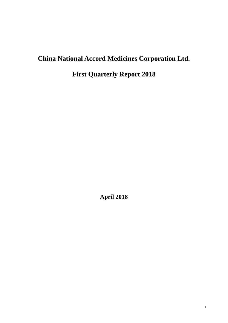# **China National Accord Medicines Corporation Ltd.**

**First Quarterly Report 2018**

**April 2018**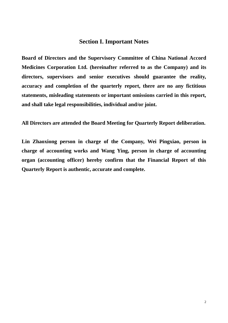## **Section I. Important Notes**

**Board of Directors and the Supervisory Committee of China National Accord Medicines Corporation Ltd. (hereinafter referred to as the Company) and its directors, supervisors and senior executives should guarantee the reality, accuracy and completion of the quarterly report, there are no any fictitious statements, misleading statements or important omissions carried in this report, and shall take legal responsibilities, individual and/or joint.**

**All Directors are attended the Board Meeting for Quarterly Report deliberation.** 

**Lin Zhaoxiong person in charge of the Company, Wei Pingxiao, person in charge of accounting works and Wang Ying, person in charge of accounting organ (accounting officer) hereby confirm that the Financial Report of this Quarterly Report is authentic, accurate and complete.**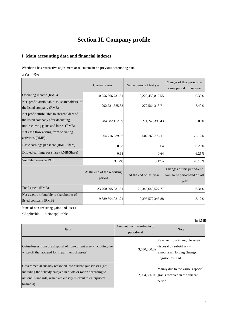# **Section II. Company profile**

## **I. Main accounting data and financial indexes**

Whether it has retroactive adjustment or re-statement on previous accounting data

□ Yes √No

|                                                                                                                          | <b>Current Period</b>                 | Same period of last year | Changes of this period over<br>same period of last year            |
|--------------------------------------------------------------------------------------------------------------------------|---------------------------------------|--------------------------|--------------------------------------------------------------------|
| Operating income (RMB)                                                                                                   | 10,256,566,731.51                     | 10,222,459,812.55        | 0.33%                                                              |
| Net profit attributable to shareholders of<br>the listed company (RMB)                                                   | 292,731,685.33                        | 272,564,318.71           | 7.40%                                                              |
| Net profit attributable to shareholders of<br>the listed company after deducting<br>non-recurring gains and losses (RMB) | 284,982,162.39                        | 271,249,398.43           | 5.06%                                                              |
| Net cash flow arising from operating<br>activities (RMB)                                                                 | -864,716,289.96                       | $-502,263,276.11$        | $-72.16%$                                                          |
| Basic earnings per share (RMB/Share)                                                                                     | 0.68                                  | 0.64                     | 6.25%                                                              |
| Diluted earnings per share (RMB/Share)                                                                                   | 0.68                                  | 0.64                     | 6.25%                                                              |
| Weighted average ROE                                                                                                     | 3.07%                                 | 3.17%                    | $-0.10%$                                                           |
|                                                                                                                          | At the end of the reporting<br>period | At the end of last year  | Changes of this period-end<br>over same period-end of last<br>year |
| Total assets (RMB)                                                                                                       | 23,760,905,981.51                     | 22, 343, 643, 527. 77    | 6.34%                                                              |
| Net assets attributable to shareholder of<br>listed company (RMB)                                                        | 9,689,304,031.21                      | 9,396,572,345.88         | 3.12%                                                              |

Items of non-recurring gains and losses

 $\sqrt{\text{Applied}}$   $\Box$  Not applicable

| Item                                                                                                                                                                                                         | Amount from year-begin to<br>period-end | <b>Note</b>                                                                                                     |
|--------------------------------------------------------------------------------------------------------------------------------------------------------------------------------------------------------------|-----------------------------------------|-----------------------------------------------------------------------------------------------------------------|
| Gains/losses from the disposal of non-current asset (including the<br>write-off that accrued for impairment of assets)                                                                                       | 3,830,300.39                            | Revenue from intangible assets<br>disposal by subsidiary $-$<br>Sinopharm Holding Guangxi<br>Logistic Co., Ltd. |
| Governmental subsidy reckoned into current gains/losses (not<br>including the subsidy enjoyed in quota or ration according to<br>national standards, which are closely relevant to enterprise's<br>business) |                                         | Mainly due to the various special<br>$2,094,366.02$ grants received in the current<br>period.                   |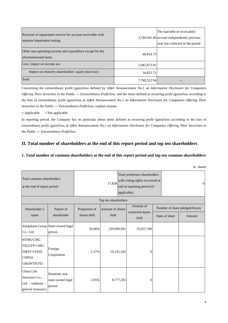| Reversal of impairment reserve for account receivable with<br>separate impairment testing |              | The bad debt of receivables<br>3,740,941.40 accrual independently previous<br>year has collected in the period |
|-------------------------------------------------------------------------------------------|--------------|----------------------------------------------------------------------------------------------------------------|
| Other non-operating income and expenditure except for the<br>aforementioned items         | 60,814.75    |                                                                                                                |
| Less: impact on income tax                                                                | 1,942,073.91 |                                                                                                                |
| Impact on minority shareholders' equity (post-tax)                                        | 34,825.71    |                                                                                                                |
| Total                                                                                     | 7,749,522.94 |                                                                                                                |

Concerning the extraordinary profit (gain)/loss defined by *Q&A Announcement No.1 on Information Disclosure for Companies Offering Their Securities to the Public --- Extraordinary Profit/loss*, and the items defined as recurring profit (gain)/loss according to the lists of extraordinary profit (gain)/loss in *Q&A Announcement No.1 on Information Disclosure for Companies Offering Their Securities to the Public --- Extraordinary Profit/loss*, explain reasons

#### $\Box$  Applicable  $\sqrt{\phantom{a}}$  Not applicable

In reporting period, the Company has no particular about items defined as recurring profit (gain)/loss according to the lists of extraordinary profit (gain)/loss in *Q&A Announcement No.1 on Information Disclosure for Companies Offering Their Securities to the Public --- Extraordinary Profit/loss*

## **II. Total number of shareholders at the end of this report period and top ten shareholders**

#### **1. Total number of common shareholders at the end of this report period and top ten common shareholders**

| Total common shareholders<br>at the end of report period                                       |                                             | Total preference shareholders<br>with voting rights recovered at<br>17,838<br>end of reporting period (if<br>applicable) |                          |                                        | $\mathbf{0}$   |                                          |
|------------------------------------------------------------------------------------------------|---------------------------------------------|--------------------------------------------------------------------------------------------------------------------------|--------------------------|----------------------------------------|----------------|------------------------------------------|
|                                                                                                |                                             |                                                                                                                          | Top ten shareholders     |                                        |                |                                          |
| Shareholder's<br>name                                                                          | Nature of<br>shareholder                    | Proportion of<br>shares held                                                                                             | Amount of shares<br>held | Amount of<br>restricted shares<br>held | State of share | Number of share pledged/frozen<br>Amount |
| Co., Ltd.                                                                                      | Sinopharm Group State-owned legal<br>person | 56.06%                                                                                                                   | 239,999,991              | 55,057,700                             |                |                                          |
| <b>HTHK/CMG</b><br><b>FSGUFP-CMG</b><br><b>FIRST STATE</b><br><b>CHINA</b><br><b>GROWTH FD</b> | Foreign<br>Corporation                      | 2.37%                                                                                                                    | 10,141,182               | $\Omega$                               |                |                                          |
| China Life<br>Insurance Co.,<br>$Ltd. - tradition -$<br>general insurance                      | Domestic non<br>state-owned legal<br>person | 2.05%                                                                                                                    | 8,777,292                | $\theta$                               |                |                                          |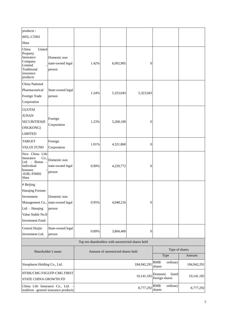| products -                                                                                                                          |                                                          |       |                                                    |                  |                                      |                |
|-------------------------------------------------------------------------------------------------------------------------------------|----------------------------------------------------------|-------|----------------------------------------------------|------------------|--------------------------------------|----------------|
| 005L-CT001                                                                                                                          |                                                          |       |                                                    |                  |                                      |                |
| Shen                                                                                                                                |                                                          |       |                                                    |                  |                                      |                |
| United<br>China<br>Property<br>Insurance<br>Company<br>Limited<br>Traditional<br>insurance<br>products                              | Domestic non<br>state-owned legal<br>person              | 1.42% | 6,092,905                                          | $\boldsymbol{0}$ |                                      |                |
| China National                                                                                                                      |                                                          |       |                                                    |                  |                                      |                |
| Pharmaceutical<br>Foreign Trade<br>Corporation                                                                                      | State-owned legal<br>person                              | 1.24% | 5,323,043                                          | 5,323,043        |                                      |                |
| <b>GUOTAI</b>                                                                                                                       |                                                          |       |                                                    |                  |                                      |                |
| <b>JUNAN</b><br><b>SECURITIES(H</b><br>ONGKONG)<br><b>LIMITED</b>                                                                   | Foreign<br>Corporation                                   | 1.23% | 5,268,100                                          | $\overline{0}$   |                                      |                |
| <b>TARGET</b>                                                                                                                       | Foreign                                                  |       |                                                    |                  |                                      |                |
| <b>VALUE FUND</b>                                                                                                                   | Corporation                                              | 1.01% | 4,321,860                                          | $\boldsymbol{0}$ |                                      |                |
| New China Life<br>Co.<br>Insurance<br>Ltd. - Bonus<br>Individual<br>bonuses<br>$-018L$ -FH002<br>Shen                               | Domestic non<br>state-owned legal<br>person              | 0.99% | 4,229,772                                          | $\theta$         |                                      |                |
| # Beijing                                                                                                                           |                                                          |       |                                                    |                  |                                      |                |
| Haoqing Fortune<br>Investment<br>Management Co., state-owned legal<br>Ltd. - Haoqing<br>Value Stable No.8<br><b>Investment Fund</b> | Domestic non<br>person                                   | 0.95% | 4,048,216                                          | $\overline{0}$   |                                      |                |
| Central Huijin<br>Investment Ltd.                                                                                                   | State-owned legal<br>person                              | 0.89% | 3,804,400                                          | $\theta$         |                                      |                |
|                                                                                                                                     |                                                          |       | Top ten shareholders with unrestricted shares held |                  |                                      |                |
|                                                                                                                                     |                                                          |       |                                                    |                  |                                      | Type of shares |
|                                                                                                                                     | Shareholder's name<br>Amount of unrestricted shares held |       |                                                    | Type             | Amount                               |                |
| Sinopharm Holding Co., Ltd.                                                                                                         |                                                          |       |                                                    | 184,942,291      | RMB<br>ordinary<br>shares            | 184,942,291    |
| STATE CHINA GROWTH FD                                                                                                               | HTHK/CMG FSGUFP-CMG FIRST                                |       |                                                    | 10,141,182       | Domestic<br>listed<br>foreign shares | 10,141,182     |
| China Life Insurance Co., Ltd. -                                                                                                    | tradition -general insurance products                    |       |                                                    | 8,777,292        | <b>RMB</b><br>ordinary<br>shares     | 8,777,292      |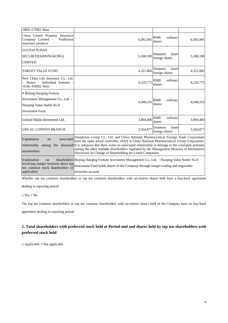| -005L-CT001 Shen                                                                                                      |                                                                                                                                                                                                                                                                                                                                                                                                                                                                  |                                      |           |
|-----------------------------------------------------------------------------------------------------------------------|------------------------------------------------------------------------------------------------------------------------------------------------------------------------------------------------------------------------------------------------------------------------------------------------------------------------------------------------------------------------------------------------------------------------------------------------------------------|--------------------------------------|-----------|
| China United Property Insurance<br>Company Limited -<br>Traditional<br>insurance products                             | 6.092.905                                                                                                                                                                                                                                                                                                                                                                                                                                                        | RMB<br>ordinary<br>shares            | 6,092,905 |
| <b>GUOTAI JUNAN</b><br>SECURITIES(HONGKONG)<br><b>LIMITED</b>                                                         | 5,268,100                                                                                                                                                                                                                                                                                                                                                                                                                                                        | listed<br>Domestic<br>foreign shares | 5,268,100 |
| <b>TARGET VALUE FUND</b>                                                                                              | 4,321,860                                                                                                                                                                                                                                                                                                                                                                                                                                                        | Domestic<br>listed<br>foreign shares | 4,321,860 |
| New China Life Insurance Co., Ltd.<br>- Bonus - Individual bonuses<br>$-018L$ -FH002 Shen                             | 4,229,772                                                                                                                                                                                                                                                                                                                                                                                                                                                        | RMB<br>ordinary<br>shares            | 4,229,772 |
| # Beijing Haoqing Fortune<br>Investment Management Co., Ltd. -<br>Haoging Value Stable No.8<br><b>Investment Fund</b> | 4,048,216                                                                                                                                                                                                                                                                                                                                                                                                                                                        | <b>RMB</b><br>ordinary<br>shares     | 4,048,216 |
| Central Huijin Investment Ltd.                                                                                        | 3,804,400                                                                                                                                                                                                                                                                                                                                                                                                                                                        | <b>RMB</b><br>ordinary<br>shares     | 3,804,400 |
| <b>UBS AG LONDON BRANCH</b>                                                                                           | 3,564,877                                                                                                                                                                                                                                                                                                                                                                                                                                                        | listed<br>Domestic<br>foreign shares | 3,564,877 |
| Explanation<br>associated<br>on<br>relationship<br>among<br>shareholders<br>Explanation<br>on                         | Sinopharm Group Co., Ltd. and China National Pharmaceutical Foreign Trade Corporation<br>have the same actual controller, which is China National Pharmaceutical Group Corporation.<br>the aforesaid It is unknown that there exists no associated relationship or belongs to the consistent actionist<br>among the other tradable shareholders regulated by the Management Measure of Information<br>Disclosure on Change of Shareholding for Listed Companies. |                                      |           |
| involving margin business about top<br>ten common stock shareholders (if<br>applicable)                               | shareholders Beijing Haoqing Fortune Investment Management Co., Ltd. - Haoqing Value Stable No.8<br>Investment Fund holds shares of the Company through margin trading and negotiable<br>securities account                                                                                                                                                                                                                                                      |                                      |           |

Whether top ten common shareholders or top ten common shareholders with un-restrict shares held have a buy-back agreement

dealing in reporting period

 $\Box$  Yes  $\sqrt{No}$ 

The top ten common shareholders or top ten common shareholders with un-restrict shares held of the Company have no buy-back

agreement dealing in reporting period.

## **2. Total shareholders with preferred stock held at Period-end and shares held by top ten shareholders with preferred stock held**

□ Applicable √ Not applicable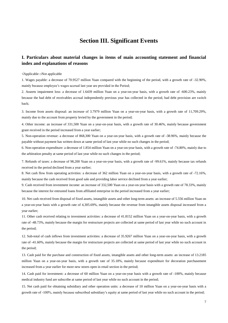# **Section III. Significant Events**

### **I. Particulars about material changes in items of main accounting statement and financial index and explanations of reasons**

√Applicable □Not applicable

1. Wages payable: a decrease of 70.9527 million Yuan compared with the beginning of the period, with a growth rate of -32.90%, mainly because employee's wages accrual last year are provided in the Period;

2. Asseets impairment loss: a decrease of 1.6439 million Yuan on a year-on-year basis, with a growth rate of -600.23%, mainly because the bad debt of receivables accrual independently previous year has collected in the period, bad debt provision are switch back;

3. Income from assets disposal: an increase of 3.7979 million Yuan on a year-on-year basis, with a growth rate of 11,709.29%, mainly due to the account from property levied by the government in the period;

4. Other income: an increase of 331,500 Yuan on a year-on-year basis, with a growth rate of 30.46%, mainly because government grant received in the period increased from a year earlier;

5. Non-operation revenue: a decrease of 868,300 Yuan on a year-on-year basis, with a growth rate of -38.96%, mainly because the payable without payment has written down at same period of last year while no such changes in the period;

6. Non-operation expenditure: a decrease of 1.854 million Yuan on a year-on-year basis, with a growth rate of -74.80%, mainly due to the arbitration penalty at same period of last year while no such changes in the period;

7. Refunds of taxes: a decrease of 98,200 Yuan on a year-on-year basis, with a growth rate of -99.61%, mainly because tax refunds received in the period declined from a year earlier;

8. Net cash flow from operating activities: a decrease of 362 million Yuan on a year-on-year basis, with a growth rate of -72.16%, mainly because the cash received from good sale and providing labor service declined from a year earlier;

9. Cash received from investment income: an increase of 332,500 Yuan on a year-on-year basis with a growth rate of 78.33%, mainly because the interest for entrusted loans from affiliated enterprise in the period increased from a year earlier;

10. Net cash received from disposal of fixed assets, intangible assets and other long-term assets: an increase of 5.556 million Yuan on a year-on-year basis with a growth rate of 4,305.69%, mainly because the revenue from intangible assets disposal increased from a year earlier;

11. Other cash received relating to investment activities: a decrease of 41.8152 million Yuan on a year-on-year basis, with a growth rate of -48.73%, mainly because the margin for restructure projects are collected at same period of last year while no such account in the period;

12. Sub-total of cash inflows from investment activities: a decrease of 35.9267 million Yuan on a year-on-year basis, with a growth rate of -41.60%, mainly because the margin for restructure projects are collected at same period of last year while no such account in the period;

13. Cash paid for the purchase and construction of fixed assets, intangible assets and other long-term assets: an increase of 13.2185 million Yuan on a year-on-year basis, with a growth rate of 35.18%, mainly because expenditure for decoration purchasement increased from a year earlier for more new stores open in retail section in the period;

14. Cash paid for investment: a decrease of 60 million Yuan on a year-on-year basis with a growth rate of -100%, mainly because medical industry fund are subscribe at same period of last year while no such account in the period;

15. Net cash paid for obtaining subsidiary and other operation units: a decrease of 10 million Yuan on a year-on-year basis with a growth rate of -100%, mainly because subscribed subsidiary's equity at same period of last year while no such account in the period;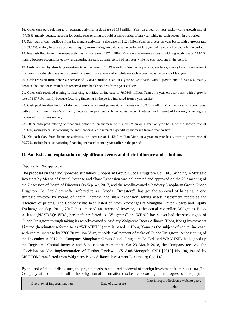16. Other cash paid relating to investment activities: a decrease of 155 million Yuan on a year-on-year basis, with a growth rate of -77.88%, mainly because account for equity restructuring are paid at same period of last year while no such account in the period;

17. Sub-total of cash outflows from investment activities: a decrease of 212 million Yuan on a year-on-year basis, with a growth rate of -69.07%, mainly because account for equity restructuring are paid at same period of last year while no such account in the period;

18. Net cash flow from investment activities: an increase of 176 million Yuan on a year-on-year basis, with a growth rate of 79.86%, mainly because account for equity restructuring are paid at same period of last year while no such account in the period;

19. Cash received by absorbing investments: an increase of 11.4932 million Yuan on a year-on-year basis, mainly because investment from minority shareholders in the period increased from a year earlier while no such account at same period of last year;

20. Cash received from debts: a decrease of 74.8513 million Yuan on a year-on-year basis, with a growth rate of -84.56%, mainly because the loan for current funds received from bank declined from a year earlier;

21. Other cash received relating to financing activities: an increase of 79.0805 million Yuan on a year-on-year basis, with a growth rate of 347.71%, mainly because factoring financing in the period increased from a year earlier;

22. Cash paid for distribution of dividend, profit or interest payment: an increase of 10.2266 million Yuan on a year-on-year basis, with a growth rate of 49.65%, mainly because the payment of buyer notes discount interest and interest of factoring financing are increased from a year earlier;

23. Other cash paid relating to financing activities: an increase of 774,700 Yuan on a year-on-year basis, with a growth rate of 32.92%, mainly because factoring fee and financing lease interest expenditure increased from a year earlier;

24. Net cash flow from financing activities: an increase of 11.1249 million Yuan on a year-on-year basis, with a growth rate of 50.77%, mainly because factoring financing increased from a year earlier in the period

#### **II. Analysis and explanation of significant events and their influence and solutions**

#### √Applicable □Not applicable

The proposal on the wholly-owned subsidiary Sinopharm Group Guoda Drugstore Co.,Ltd., Bringing in Strategic Investors by Means of Capital Increase and Share Expansion was deliberated and approved on the 25th meeting of the 7th session of Board of Directors On Sep. 4th, 2017, and the wholly-owned subsidiary Sinopharm Group Guoda Drugstore Co., Ltd (hereinafter referred to as "Guoda Drugstore") has got the approval of bringing in one strategic investor by means of capital increase and share expansion, taking assets assessment report as the reference of pricing. The Company has been listed on stock exchanges at Shanghai United Assets and Equity Exchange on Sep.  $20<sup>th</sup>$ ,  $2017$ , has amassed an interested investor, as the actual controller, Walgreens Boots Alliance (NASDAQ: WBA, hereinafter referred as "Walgreens" or "WBA") has subscribed the stock rights of Guoda Drugstore through taking its wholly-owned subsidiary Walgreens Boots Alliance (Hong Kong) Investments Limited (hereinafter referred to as "WBAHKIL") that is based in Hong Kong as the subject of capital increase, with capital increase by 2766.70 million Yuan, it holds a 40 percent of stake of Guoda Drugstore. At beginning of the December in 2017, the Company, Sinopharm Group Guoda Drugstore Co.,Ltd. and WBAHKIL, had signed up the Registered Capital Increase and Subscription Agreement. On 23 March 2018, the Company received the "Decision on Non Implementation of Further Review " (S Anti-Monopoly CSH [2018] No.104) issued by MOFCOM transferred from Walgreens Boots Alliance Investment Luxemburg Co., Ltd.

By the end of date of disclosure, the project needs to acquired approval of foreign investment from MOFCOM. The Company will continue to fulfill the obligation of information disclosure according to the progress of this project.

| Overview of important matters | Date of disclosure | Interim report disclosure website query |
|-------------------------------|--------------------|-----------------------------------------|
|                               |                    | index                                   |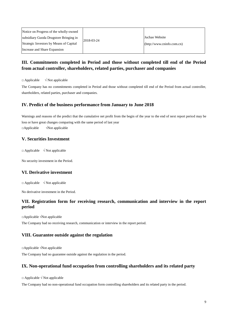| Notice on Progress of the wholly-owned  |            |                            |
|-----------------------------------------|------------|----------------------------|
| subsidiary Guoda Drugstore Bringing in  | 2018-03-24 | Juchao Website             |
| Strategic Investors by Means of Capital |            | (http://www.cninfo.com.cn) |
| Increase and Share Expansion            |            |                            |

## **III. Commitments completed in Period and those without completed till end of the Period from actual controller, shareholders, related parties, purchaser and companies**

 $\Box$  Applicable  $\sqrt{\phantom{a}}$  Not applicable

The Company has no commitments completed in Period and those without completed till end of the Period from actual controller, shareholders, related parties, purchaser and companies.

#### **IV. Predict of the business performance from January to June 2018**

Warnings and reasons of the predict that the cumulative net profit from the begin of the year to the end of next report period may be loss or have great changes comparing with the same period of last year □Applicable √Not applicable

#### **V. Securities Investment**

 $\Box$  Applicable  $\sqrt{\phantom{a}}$  Not applicable

No security investment in the Period.

#### **VI. Derivative investment**

 $\Box$  Applicable  $\sqrt{N}$  Not applicable

No derivative investment in the Period.

#### **VII. Registration form for receiving research, communication and interview in the report period**

□Applicable √Not applicable

The Company had no receiving research, communication or interview in the report period.

#### **VIII. Guarantee outside against the regulation**

□Applicable √Not applicable

The Company had no guarantee outside against the regulation in the period.

#### **IX. Non-operational fund occupation from controlling shareholders and its related party**

□ Applicable √ Not applicable

The Company had no non-operational fund occupation form controlling shareholders and its related party in the period.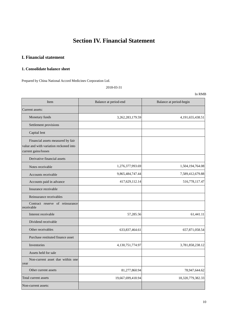# **Section IV. Financial Statement**

### **I. Financial statement**

#### **1. Consolidate balance sheet**

Prepared by China National Accord Medicines Corporation Ltd.

2018-03-31

| Item                                                                                                | Balance at period-end | Balance at period-begin |
|-----------------------------------------------------------------------------------------------------|-----------------------|-------------------------|
| Current assets:                                                                                     |                       |                         |
| Monetary funds                                                                                      | 3,262,283,179.59      | 4,191,655,438.51        |
| Settlement provisions                                                                               |                       |                         |
| Capital lent                                                                                        |                       |                         |
| Financial assets measured by fair<br>value and with variation reckoned into<br>current gains/losses |                       |                         |
| Derivative financial assets                                                                         |                       |                         |
| Notes receivable                                                                                    | 1,276,377,993.69      | 1,504,194,764.08        |
| Accounts receivable                                                                                 | 9,865,484,747.44      | 7,589,412,679.88        |
| Accounts paid in advance                                                                            | 417,629,112.14        | 516,778,117.47          |
| Insurance receivable                                                                                |                       |                         |
| Reinsurance receivables                                                                             |                       |                         |
| Contract reserve of reinsurance<br>receivable                                                       |                       |                         |
| Interest receivable                                                                                 | 57,285.56             | 61,441.11               |
| Dividend receivable                                                                                 |                       |                         |
| Other receivables                                                                                   | 633,837,464.61        | 657,871,058.54          |
| Purchase restituted finance asset                                                                   |                       |                         |
| Inventories                                                                                         | 4,130,751,774.97      | 3,781,858,238.12        |
| Assets held for sale                                                                                |                       |                         |
| Non-current asset due within one<br>year                                                            |                       |                         |
| Other current assets                                                                                | 81,277,860.94         | 78,947,644.62           |
| Total current assets                                                                                | 19,667,699,418.94     | 18,320,779,382.33       |
| Non-current assets:                                                                                 |                       |                         |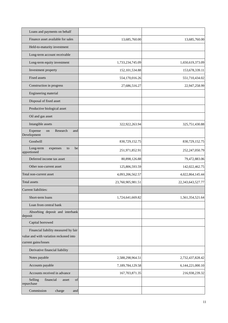| Loans and payments on behalf                      |                   |                   |
|---------------------------------------------------|-------------------|-------------------|
| Finance asset available for sales                 | 13,685,760.00     | 13,685,760.00     |
| Held-to-maturity investment                       |                   |                   |
| Long-term account receivable                      |                   |                   |
| Long-term equity investment                       | 1,733,234,745.09  | 1,650,619,373.09  |
| Investment property                               | 152, 101, 534.88  | 153,678,339.11    |
| Fixed assets                                      | 554,170,016.26    | 551,710,434.02    |
| Construction in progress                          | 27,686,516.27     | 22,947,258.99     |
| Engineering material                              |                   |                   |
| Disposal of fixed asset                           |                   |                   |
| Productive biological asset                       |                   |                   |
| Oil and gas asset                                 |                   |                   |
| Intangible assets                                 | 322,922,263.94    | 325,751,430.88    |
| Expense<br>Research<br>and<br>on<br>Development   |                   |                   |
| Goodwill                                          | 830,729,152.75    | 830,729,152.75    |
| Long-term<br>be<br>expenses<br>to<br>apportioned  | 251,971,852.91    | 252,247,050.79    |
| Deferred income tax asset                         | 80,898,126.88     | 79,472,883.06     |
| Other non-current asset                           | 125,806,593.59    | 142,022,462.75    |
| Total non-current asset                           | 4,093,206,562.57  | 4,022,864,145.44  |
| <b>Total assets</b>                               | 23,760,905,981.51 | 22,343,643,527.77 |
| Current liabilities:                              |                   |                   |
| Short-term loans                                  | 1,724,641,669.82  | 1,561,354,521.64  |
| Loan from central bank                            |                   |                   |
| Absorbing deposit and interbank<br>deposit        |                   |                   |
| Capital borrowed                                  |                   |                   |
| Financial liability measured by fair              |                   |                   |
| value and with variation reckoned into            |                   |                   |
| current gains/losses                              |                   |                   |
| Derivative financial liability                    |                   |                   |
| Notes payable                                     | 2,588,298,964.51  | 2,732,437,828.42  |
| Accounts payable                                  | 7,189,784,129.58  | 6,144,221,000.10  |
| Accounts received in advance                      | 167,703,871.35    | 216,938,239.32    |
| financial<br>Selling<br>of<br>asset<br>repurchase |                   |                   |
| Commission<br>charge<br>and                       |                   |                   |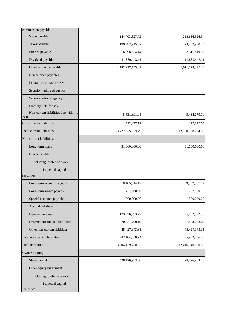| commission payable                           |                   |                   |
|----------------------------------------------|-------------------|-------------------|
| Wage payable                                 | 144,703,827.72    | 215,656,526.54    |
| Taxes payable                                | 199,482,915.87    | 223,752,900.24    |
| Interest payable                             | 6,898,654.14      | 7,311,819.65      |
| Dividend payable                             | 11,889,443.11     | 11,889,443.11     |
| Other accounts payable                       | 1,182,977,735.01  | 1,011,128,397.26  |
| Reinsurance payables                         |                   |                   |
| Insurance contract reserve                   |                   |                   |
| Security trading of agency                   |                   |                   |
| Security sales of agency                     |                   |                   |
| Liability held for sale                      |                   |                   |
| Non-current liabilities due within 1<br>year | 5,531,891.01      | 5,434,770.70      |
| Other current liabilities                    | 112,277.17        | 112,817.65        |
| Total current liabilities                    | 13,222,025,379.29 | 12,130,238,264.63 |
| Non-current liabilities:                     |                   |                   |
| Long-term loans                              | 31,600,000.00     | 31,600,000.00     |
| Bonds payable                                |                   |                   |
| Including: preferred stock                   |                   |                   |
| Perpetual capital                            |                   |                   |
| securities                                   |                   |                   |
| Long-term account payable                    | 8,185,314.17      | 9,332,537.14      |
| Long-term wages payable                      | 1,777,000.00      | 1,777,000.00      |
| Special accounts payable                     | 800,000.00        | 800,000.00        |
| Accrual liabilities                          |                   |                   |
| Deferred income                              | 123,626,993.27    | 125,082,372.53    |
| Deferred income tax liabilities              | 70,687,700.19     | 71,883,253.02     |
| Other non-current liabilities                | 45, 427, 343. 31  | 45, 427, 343. 31  |
| Total non-current liabilities                | 282,104,350.94    | 285,902,506.00    |
| <b>Total liabilities</b>                     | 13,504,129,730.23 | 12,416,140,770.63 |
| Owner's equity:                              |                   |                   |
| Share capital                                | 428,126,983.00    | 428,126,983.00    |
| Other equity instrument                      |                   |                   |
| Including: preferred stock                   |                   |                   |
| Perpetual capital<br>securities              |                   |                   |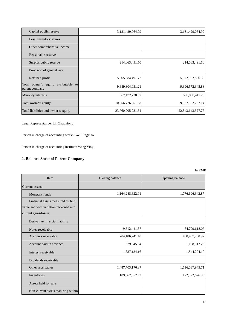| Capital public reserve                                    | 3,181,429,064.99  | 3,181,429,064.99  |
|-----------------------------------------------------------|-------------------|-------------------|
| Less: Inventory shares                                    |                   |                   |
| Other comprehensive income                                |                   |                   |
| Reasonable reserve                                        |                   |                   |
| Surplus public reserve                                    | 214,063,491.50    | 214,063,491.50    |
| Provision of general risk                                 |                   |                   |
| Retained profit                                           | 5,865,684,491.72  | 5,572,952,806.39  |
| Total owner's equity<br>attributable to<br>parent company | 9,689,304,031.21  | 9,396,572,345.88  |
| Minority interests                                        | 567,472,220.07    | 530,930,411.26    |
| Total owner's equity                                      | 10,256,776,251.28 | 9,927,502,757.14  |
| Total liabilities and owner's equity                      | 23,760,905,981.51 | 22,343,643,527.77 |

Legal Representative: Lin Zhaoxiong

Person in charge of accounting works: Wei Pingxiao

Person in charge of accounting institute: Wang Ying

## **2. Balance Sheet of Parent Company**

| Item                                   | Closing balance   | Opening balance  |
|----------------------------------------|-------------------|------------------|
| Current assets:                        |                   |                  |
| Monetary funds                         | 1,164,288,622.01  | 1,776,696,342.87 |
| Financial assets measured by fair      |                   |                  |
| value and with variation reckoned into |                   |                  |
| current gains/losses                   |                   |                  |
| Derivative financial liability         |                   |                  |
| Notes receivable                       | 9,612,441.57      | 64,799,618.07    |
| Accounts receivable                    | 704,186,741.40    | 480,467,760.92   |
| Account paid in advance                | 629,345.64        | 1,138,312.26     |
| Interest receivable                    | 1,837,134.16      | 1,844,294.10     |
| Dividends receivable                   |                   |                  |
| Other receivables                      | 1,487,703,176.87  | 1,516,037,945.71 |
| Inventories                            | 189, 362, 652. 93 | 172,022,676.96   |
| Assets held for sale                   |                   |                  |
| Non-current assets maturing within     |                   |                  |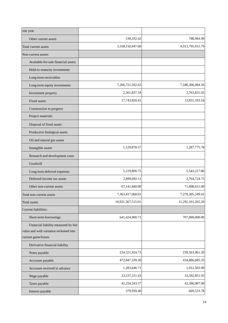| one year                                                                       |                   |                   |
|--------------------------------------------------------------------------------|-------------------|-------------------|
| Other current assets                                                           | 530,332.42        | 788,964.90        |
| Total current assets                                                           | 3,558,150,447.00  | 4,013,795,915.79  |
| Non-current assets:                                                            |                   |                   |
| Available-for-sale financial assets                                            |                   |                   |
| Held-to-maturity investments                                                   |                   |                   |
| Long-term receivables                                                          |                   |                   |
| Long-term equity investments                                                   | 7,266,721,592.63  | 7,180,306,084.56  |
| Investment property                                                            | 2,561,837.54      | 2,763,831.92      |
| Fixed assets                                                                   | 17,743,826.41     | 13,831,103.54     |
| Construction in progress                                                       |                   |                   |
| Project materials                                                              |                   |                   |
| Disposal of fixed assets                                                       |                   |                   |
| Productive biological assets                                                   |                   |                   |
| Oil and natural gas assets                                                     |                   |                   |
| Intangible assets                                                              | 1,129,078.57      | 1,287,775.78      |
| Research and development costs                                                 |                   |                   |
| Goodwill                                                                       |                   |                   |
| Long-term deferred expenses                                                    | 5,219,800.75      | 5,543,217.86      |
| Deferred income tax assets                                                     | 2,899,092.11      | 2,764,724.75      |
| Other non-current assets                                                       | 67,141,840.00     | 71,808,611.00     |
| Total non-current assets                                                       | 7,363,417,068.01  | 7,278,305,349.41  |
| <b>Total assets</b>                                                            | 10,921,567,515.01 | 11,292,101,265.20 |
| Current liabilities:                                                           |                   |                   |
| Short-term borrowings                                                          | 641,424,900.71    | 707,000,000.00    |
| Financial liability measured by fair<br>value and with variation reckoned into |                   |                   |
| current gains/losses                                                           |                   |                   |
| Derivative financial liability                                                 |                   |                   |
| Notes payable                                                                  | 224,521,924.73    | 239,563,961.30    |
| Accounts payable                                                               | 472,847,339.30    | 434,886,685.35    |
| Accounts received in advance                                                   | 1,283,646.71      | 1,912,503.90      |
| Wage payable                                                                   | 23,537,311.43     | 33,592,851.93     |
| Taxes payable                                                                  | 42,254,243.37     | 42,386,907.00     |
| Interest payable                                                               | 379,939.40        | 669,533.78        |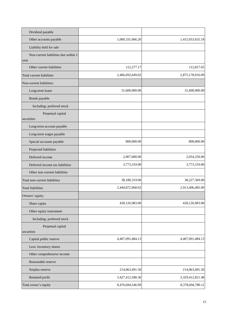| Dividend payable                             |                  |                  |
|----------------------------------------------|------------------|------------------|
| Other accounts payable                       | 1,000,331,066.20 | 1,415,053,655.18 |
| Liability held for sale                      |                  |                  |
| Non-current liabilities due within 1<br>year |                  |                  |
| Other current liabilities                    | 112,277.17       | 112,817.65       |
| Total current liabilities                    | 2,406,692,649.02 | 2,875,178,916.09 |
| Non-current liabilities:                     |                  |                  |
| Long-term loans                              | 31,600,000.00    | 31,600,000.00    |
| Bonds payable                                |                  |                  |
| Including: preferred stock                   |                  |                  |
| Perpetual capital<br>securities              |                  |                  |
| Long-term account payable                    |                  |                  |
| Long-term wages payable                      |                  |                  |
| Special accounts payable                     | 800,000.00       | 800,000.00       |
| Projected liabilities                        |                  |                  |
| Deferred income                              | 2,007,000.00     | 2,054,250.00     |
| Deferred income tax liabilities              | 3,773,319.00     | 3,773,319.00     |
| Other non-current liabilities                |                  |                  |
| Total non-current liabilities                | 38,180,319.00    | 38,227,569.00    |
| <b>Total liabilities</b>                     | 2,444,872,968.02 | 2,913,406,485.09 |
| Owners' equity:                              |                  |                  |
| Share capita                                 | 428,126,983.00   | 428,126,983.00   |
| Other equity instrument                      |                  |                  |
| Including: preferred stock                   |                  |                  |
| Perpetual capital<br>securities              |                  |                  |
| Capital public reserve                       | 4,407,091,484.13 | 4,407,091,484.13 |
| Less: Inventory shares                       |                  |                  |
| Other comprehensive income                   |                  |                  |
| Reasonable reserve                           |                  |                  |
| Surplus reserve                              | 214,063,491.50   | 214,063,491.50   |
| Retained profit                              | 3,427,412,588.36 | 3,329,412,821.48 |
| Total owner's equity                         | 8,476,694,546.99 | 8,378,694,780.11 |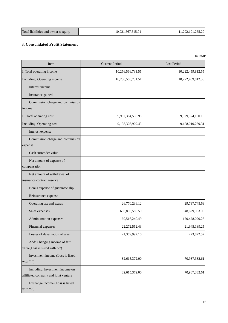| Total liabilities and owner's equity | 10,921,567,515.01 | 11,292,101,265.20 |
|--------------------------------------|-------------------|-------------------|
|--------------------------------------|-------------------|-------------------|

#### **3. Consolidated Profit Statement**

| Item                                                                    | <b>Current Period</b> | <b>Last Period</b> |
|-------------------------------------------------------------------------|-----------------------|--------------------|
| I. Total operating income                                               | 10,256,566,731.51     | 10,222,459,812.55  |
| Including: Operating income                                             | 10,256,566,731.51     | 10,222,459,812.55  |
| Interest income                                                         |                       |                    |
| Insurance gained                                                        |                       |                    |
| Commission charge and commission<br>income                              |                       |                    |
| II. Total operating cost                                                | 9,962,364,535.96      | 9,929,024,160.13   |
| Including: Operating cost                                               | 9,138,308,909.43      | 9,158,010,239.31   |
| Interest expense                                                        |                       |                    |
| Commission charge and commission<br>expense                             |                       |                    |
| Cash surrender value                                                    |                       |                    |
| Net amount of expense of<br>compensation                                |                       |                    |
| Net amount of withdrawal of<br>insurance contract reserve               |                       |                    |
| Bonus expense of guarantee slip                                         |                       |                    |
| Reinsurance expense                                                     |                       |                    |
| Operating tax and extras                                                | 26,770,236.12         | 29,737,745.69      |
| Sales expenses                                                          | 606,866,589.59        | 548,629,093.08     |
| Administration expenses                                                 | 169,516,240.49        | 170,428,020.23     |
| Financial expenses                                                      | 22,272,552.43         | 21,945,189.25      |
| Losses of devaluation of asset                                          | $-1,369,992.10$       | 273,872.57         |
| Add: Changing income of fair<br>value(Loss is listed with "-")          |                       |                    |
| Investment income (Loss is listed<br>with "-")                          | 82,615,372.00         | 70,987,332.61      |
| Including: Investment income on<br>affiliated company and joint venture | 82,615,372.00         | 70,987,332.61      |
| Exchange income (Loss is listed<br>with "-")                            |                       |                    |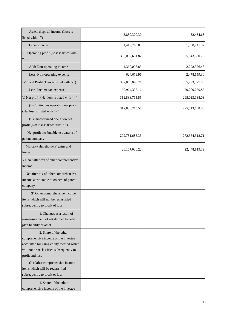| Assets disposal income (Loss is<br>listed with "-")                                                                                                                     | 3,830,300.39   | 32,434.63      |
|-------------------------------------------------------------------------------------------------------------------------------------------------------------------------|----------------|----------------|
| Other income                                                                                                                                                            | 1,419,763.88   | 1,088,241.07   |
| III. Operating profit (Loss is listed with<br>$\left($ "-")                                                                                                             | 382,067,631.82 | 365,543,660.73 |
| Add: Non-operating income                                                                                                                                               | 1,360,096.85   | 2,228,376.43   |
| Less: Non-operating expense                                                                                                                                             | 624,679.96     | 2,478,659.30   |
| IV. Total Profit (Loss is listed with "-")                                                                                                                              | 382,803,048.71 | 365,293,377.86 |
| Less: Income tax expense                                                                                                                                                | 69,964,333.16  | 70,280,239.83  |
| V. Net profit (Net loss is listed with "-")                                                                                                                             | 312,838,715.55 | 295,013,138.03 |
| (I) Continuous operation net profit<br>(Net loss is listed with "-")                                                                                                    | 312,838,715.55 | 295,013,138.03 |
| (II) Discontinued operation net<br>profit (Net loss is listed with "-")                                                                                                 |                |                |
| Net profit attributable to owner's of<br>parent company                                                                                                                 | 292,731,685.33 | 272,564,318.71 |
| Minority shareholders' gains and<br>losses                                                                                                                              | 20,107,030.22  | 22,448,819.32  |
| VI. Net after-tax of other comprehensive<br>income                                                                                                                      |                |                |
| Net after-tax of other comprehensive<br>income attributable to owners of parent<br>company                                                                              |                |                |
| (I) Other comprehensive income<br>litems which will not be reclassified<br>subsequently to profit of loss                                                               |                |                |
| 1. Changes as a result of<br>re-measurement of net defined benefit<br>plan liability or asset                                                                           |                |                |
| 2. Share of the other<br>comprehensive income of the investee<br>accounted for using equity method which<br>will not be reclassified subsequently to<br>profit and loss |                |                |
| (II) Other comprehensive income<br>items which will be reclassified<br>subsequently to profit or loss                                                                   |                |                |
| 1. Share of the other<br>comprehensive income of the investee                                                                                                           |                |                |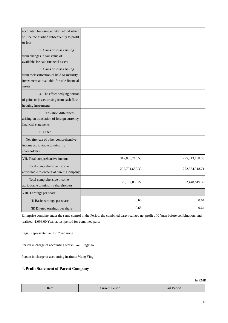| accounted for using equity method which<br>will be reclassified subsequently to profit<br>or loss                               |                |                |
|---------------------------------------------------------------------------------------------------------------------------------|----------------|----------------|
| 2. Gains or losses arising<br>from changes in fair value of<br>available-for-sale financial assets                              |                |                |
| 3. Gains or losses arising<br>from reclassification of held-to-maturity<br>investment as available-for-sale financial<br>assets |                |                |
| 4. The effect hedging portion<br>of gains or losses arising from cash flow<br>hedging instruments                               |                |                |
| 5. Translation differences<br>arising on translation of foreign currency<br>financial statements                                |                |                |
| 6. Other                                                                                                                        |                |                |
| Net after-tax of other comprehensive<br>income attributable to minority<br>shareholders                                         |                |                |
| VII. Total comprehensive income                                                                                                 | 312,838,715.55 | 295,013,138.03 |
| Total comprehensive income<br>attributable to owners of parent Company                                                          | 292,731,685.33 | 272,564,318.71 |
| Total comprehensive income<br>attributable to minority shareholders                                                             | 20,107,030.22  | 22,448,819.32  |
| VIII. Earnings per share:                                                                                                       |                |                |
| (i) Basic earnings per share                                                                                                    | 0.68           | 0.64           |
| (ii) Diluted earnings per share                                                                                                 | 0.68           | 0.64           |

Enterprise combine under the same control in the Period, the combined party realized net profit of 0 Yuan before combination, and realized -1,096.00 Yuan at last period for combined party

Legal Representative: Lin Zhaoxiong

Person in charge of accounting works: Wei Pingxiao

Person in charge of accounting institute: Wang Ying

#### **4. Profit Statement of Parent Company**

| Item | Current Period | Last Period |
|------|----------------|-------------|
|      |                |             |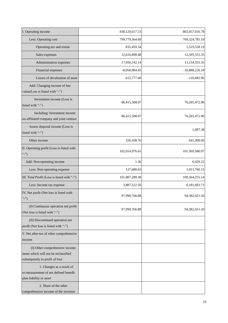| I. Operating income                                                                                      | 838,120,017.53  | 802,057,016.78   |
|----------------------------------------------------------------------------------------------------------|-----------------|------------------|
| Less: Operating cost                                                                                     | 799,779,364.60  | 769,324,785.10   |
| Operating tax and extras                                                                                 | 835,459.34      | 1,519,528.19     |
| Sales expenses                                                                                           | 12,616,898.48   | 12,395,531.55    |
| Administration expenses                                                                                  | 17,050,142.14   | 13,154,355.35    |
| Financial expenses                                                                                       | $-8,050,984.45$ | $-18,888,226.18$ |
| Losses of devaluation of asset                                                                           | 615,777.60      | $-110,682.96$    |
| Add: Changing income of fair<br>value(Loss is listed with "-")                                           |                 |                  |
| Investment income (Loss is<br>listed with "-")                                                           | 86,415,508.07   | 76,265,472.96    |
| Including: Investment income<br>on affiliated company and joint venture                                  | 86,415,508.07   | 76,265,472.96    |
| Assets disposal income (Loss is<br>listed with "-")                                                      |                 | 1,087.38         |
| Other income                                                                                             | 326,108.76      | 641,300.00       |
| II. Operating profit (Loss is listed with<br>$\left($ "-")                                               | 102,014,976.65  | 101,569,586.07   |
| Add: Non-operating income                                                                                | 1.36            | 6,429.22         |
| Less: Non-operating expense                                                                              | 127,688.63      | 1,011,760.15     |
| III. Total Profit (Loss is listed with "-")                                                              | 101,887,289.38  | 100,564,255.14   |
| Less: Income tax expense                                                                                 | 3,887,522.50    | 6,181,603.71     |
| IV. Net profit (Net loss is listed with<br>$\left($ "-")                                                 | 97,999,766.88   | 94, 382, 651. 43 |
| (I) Continuous operation net profit<br>(Net loss is listed with "-")                                     | 97,999,766.88   | 94, 382, 651. 43 |
| (II) Discontinued operation net<br>profit (Net loss is listed with "-")                                  |                 |                  |
| V. Net after-tax of other comprehensive<br>income                                                        |                 |                  |
| (I) Other comprehensive income<br>items which will not be reclassified<br>subsequently to profit of loss |                 |                  |
| 1. Changes as a result of<br>re-measurement of net defined benefit<br>plan liability or asset            |                 |                  |
| 2. Share of the other<br>comprehensive income of the investee                                            |                 |                  |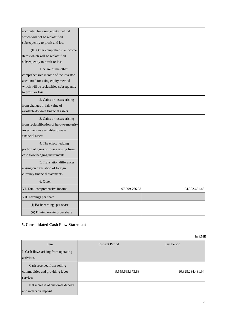| accounted for using equity method<br>which will not be reclassified<br>subsequently to profit and loss                                                             |               |               |
|--------------------------------------------------------------------------------------------------------------------------------------------------------------------|---------------|---------------|
| (II) Other comprehensive income<br>items which will be reclassified<br>subsequently to profit or loss                                                              |               |               |
| 1. Share of the other<br>comprehensive income of the investee<br>accounted for using equity method<br>which will be reclassified subsequently<br>to profit or loss |               |               |
| 2. Gains or losses arising<br>from changes in fair value of<br>available-for-sale financial assets                                                                 |               |               |
| 3. Gains or losses arising<br>from reclassification of held-to-maturity<br>investment as available-for-sale<br>financial assets                                    |               |               |
| 4. The effect hedging<br>portion of gains or losses arising from<br>cash flow hedging instruments                                                                  |               |               |
| 5. Translation differences<br>arising on translation of foreign<br>currency financial statements                                                                   |               |               |
| 6. Other                                                                                                                                                           |               |               |
| VI. Total comprehensive income                                                                                                                                     | 97,999,766.88 | 94,382,651.43 |
| VII. Earnings per share:                                                                                                                                           |               |               |
| (i) Basic earnings per share                                                                                                                                       |               |               |
| (ii) Diluted earnings per share                                                                                                                                    |               |               |

### **5. Consolidated Cash Flow Statement**

| Item                                                                      | Current Period   | Last Period       |
|---------------------------------------------------------------------------|------------------|-------------------|
| I. Cash flows arising from operating<br>activities:                       |                  |                   |
| Cash received from selling<br>commodities and providing labor<br>services | 9,559,665,373.83 | 10,328,284,481.94 |
| Net increase of customer deposit<br>and interbank deposit                 |                  |                   |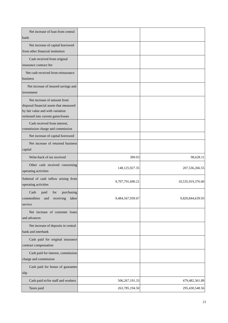| Net increase of loan from central                                                                                                                |                   |                   |
|--------------------------------------------------------------------------------------------------------------------------------------------------|-------------------|-------------------|
| bank                                                                                                                                             |                   |                   |
| Net increase of capital borrowed<br>from other financial institution                                                                             |                   |                   |
| Cash received from original<br>insurance contract fee                                                                                            |                   |                   |
| Net cash received from reinsurance<br>business                                                                                                   |                   |                   |
| Net increase of insured savings and<br>investment                                                                                                |                   |                   |
| Net increase of amount from<br>disposal financial assets that measured<br>by fair value and with variation<br>reckoned into current gains/losses |                   |                   |
| Cash received from interest,<br>commission charge and commission                                                                                 |                   |                   |
| Net increase of capital borrowed                                                                                                                 |                   |                   |
| Net increase of returned business<br>capital                                                                                                     |                   |                   |
| Write-back of tax received                                                                                                                       | 389.03            | 98,628.11         |
| Other cash received concerning<br>operating activities                                                                                           | 148, 125, 927. 35 | 207,536,266.55    |
| Subtotal of cash inflow arising from<br>operating activities                                                                                     | 9,707,791,690.21  | 10,535,919,376.60 |
| Cash<br>purchasing<br>paid<br>for<br>commodities<br>receiving<br>labor<br>and<br>service                                                         | 9,484,567,939.67  | 9,820,844,639.93  |
| Net increase of customer loans<br>and advances                                                                                                   |                   |                   |
| Net increase of deposits in central<br>bank and interbank                                                                                        |                   |                   |
| Cash paid for original insurance<br>contract compensation                                                                                        |                   |                   |
| Cash paid for interest, commission<br>charge and commission                                                                                      |                   |                   |
| Cash paid for bonus of guarantee<br>slip                                                                                                         |                   |                   |
| Cash paid to/for staff and workers                                                                                                               | 506, 267, 191.33  | 479,482,361.89    |
| Taxes paid                                                                                                                                       | 263,785,194.50    | 295,430,548.56    |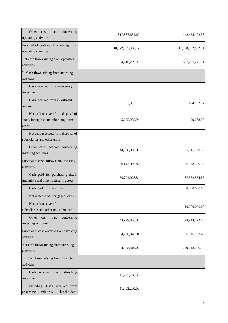| Other<br>cash<br>paid<br>concerning<br>operating activities                           | 317,887,654.67    | 442, 425, 102. 33  |
|---------------------------------------------------------------------------------------|-------------------|--------------------|
| Subtotal of cash outflow arising from<br>operating activities                         | 10,572,507,980.17 | 11,038,182,652.71  |
| Net cash flows arising from operating<br>activities                                   | -864,716,289.96   | $-502,263,276.11$  |
| II. Cash flows arising from investing<br>activities:                                  |                   |                    |
| Cash received from recovering<br>investment                                           |                   |                    |
| Cash received from investment<br>income                                               | 757,007.78        | 424,502.22         |
| Net cash received from disposal of<br>fixed, intangible and other long-term<br>assets | 5,685,052.04      | 129,038.95         |
| Net cash received from disposal of<br>subsidiaries and other units                    |                   |                    |
| Other cash received concerning<br>investing activities                                | 44,000,000.00     | 85, 815, 179. 38   |
| Subtotal of cash inflow from investing<br>activities                                  | 50,442,059.82     | 86, 368, 720. 55   |
| Cash paid for purchasing fixed,<br>intangible and other long-term assets              | 50,791,078.84     | 37, 572, 554.85    |
| Cash paid for investment                                                              |                   | 60,000,000.00      |
| Net increase of mortgaged loans                                                       |                   |                    |
| Net cash received from<br>subsidiaries and other units obtained                       |                   | 10,000,000.00      |
| Other<br>cash<br>paid<br>concerning<br>investing activities                           | 43,999,800.00     | 198,944,422.63     |
| Subtotal of cash outflow from investing<br>activities                                 | 94,790,878.84     | 306,516,977.48     |
| Net cash flows arising from investing<br>activities                                   | -44,348,819.02    | -220, 148, 256. 93 |
| III. Cash flows arising from financing<br>activities                                  |                   |                    |
| Cash received from absorbing<br>investment                                            | 11,493,200.00     |                    |
| Including: Cash received from<br>absorbing<br>minority<br>shareholders'               | 11,493,200.00     |                    |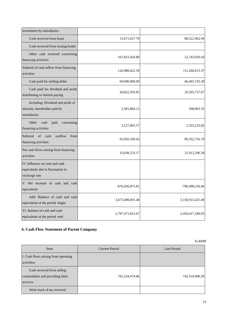| investment by subsidiaries                                                           |                   |                  |
|--------------------------------------------------------------------------------------|-------------------|------------------|
| Cash received from loans                                                             | 13,671,657.79     | 88,522,962.94    |
| Cash received from issuing bonds                                                     |                   |                  |
| Other cash received concerning<br>financing activities                               | 101,823,564.80    | 22,743,050.43    |
| Subtotal of cash inflow from financing<br>activities                                 | 126,988,422.59    | 111,266,013.37   |
| Cash paid for settling debts                                                         | 60,000,000.00     | 66,403,745.30    |
| Cash paid for dividend and profit<br>distributing or interest paying                 | 30,822,293.85     | 20,595,737.67    |
| Including: Dividend and profit of<br>minority shareholder paid by<br>subsidiaries    | 2,581,864.12      | 508,903.35       |
| Other<br>cash<br>paid<br>concerning<br>financing activities                          | 3,127,895.57      | 2,353,233.82     |
| Subtotal<br>$\sigma$ f<br>cash<br>outflow<br>from<br>financing activities            | 93,950,189.42     | 89, 352, 716. 79 |
| Net cash flows arising from financing<br>activities                                  | 33,038,233.17     | 21,913,296.58    |
| IV. Influence on cash and cash<br>equivalents due to fluctuation in<br>exchange rate |                   |                  |
| V. Net increase of cash and cash<br>equivalents                                      | $-876,026,875.81$ | -700,498,236.46  |
| Add: Balance of cash and cash<br>equivalents at the period -begin                    | 3,673,498,691.48  | 3,150,915,425.49 |
| VI. Balance of cash and cash<br>equivalents at the period -end                       | 2,797,471,815.67  | 2,450,417,189.03 |

## **6. Cash Flow Statement of Parent Company**

| Item                                                                      | <b>Current Period</b> | <b>Last Period</b> |
|---------------------------------------------------------------------------|-----------------------|--------------------|
| I. Cash flows arising from operating<br>activities:                       |                       |                    |
| Cash received from selling<br>commodities and providing labor<br>services | 762,534,474.46        | 742,518,400.20     |
| Write-back of tax received                                                |                       |                    |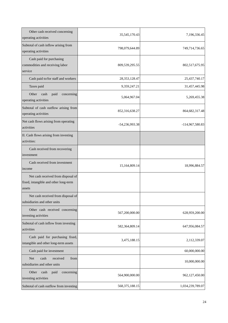| Other cash received concerning<br>operating activities                                | 35, 545, 170. 43  | 7,196,336.45      |
|---------------------------------------------------------------------------------------|-------------------|-------------------|
| Subtotal of cash inflow arising from<br>operating activities                          | 798,079,644.89    | 749,714,736.65    |
| Cash paid for purchasing<br>commodities and receiving labor<br>service                | 809,539,295.55    | 802,517,675.95    |
| Cash paid to/for staff and workers                                                    | 28, 353, 128. 47  | 25,437,740.17     |
| Taxes paid                                                                            | 9,359,247.21      | 31,457,445.98     |
| Other<br>cash<br>paid<br>concerning<br>operating activities                           | 5,064,967.04      | 5,269,455.38      |
| Subtotal of cash outflow arising from<br>operating activities                         | 852,316,638.27    | 864, 682, 317. 48 |
| Net cash flows arising from operating<br>activities                                   | -54,236,993.38    | -114,967,580.83   |
| II. Cash flows arising from investing<br>activities:                                  |                   |                   |
| Cash received from recovering<br>investment                                           |                   |                   |
| Cash received from investment<br>income                                               | 15,164,809.14     | 18,996,884.57     |
| Net cash received from disposal of<br>fixed, intangible and other long-term<br>assets |                   |                   |
| Net cash received from disposal of<br>subsidiaries and other units                    |                   |                   |
| Other cash received concerning<br>investing activities                                | 567,200,000.00    | 628,959,200.00    |
| Subtotal of cash inflow from investing<br>activities                                  | 582,364,809.14    | 647,956,084.57    |
| Cash paid for purchasing fixed,<br>intangible and other long-term assets              | 3,475,188.15      | 2,112,339.07      |
| Cash paid for investment                                                              |                   | 60,000,000.00     |
| <b>Net</b><br>cash<br>received<br>from<br>subsidiaries and other units                |                   | 10,000,000.00     |
| Other<br>cash<br>paid<br>concerning<br>investing activities                           | 564,900,000.00    | 962,127,450.00    |
| Subtotal of cash outflow from investing                                               | 568, 375, 188. 15 | 1,034,239,789.07  |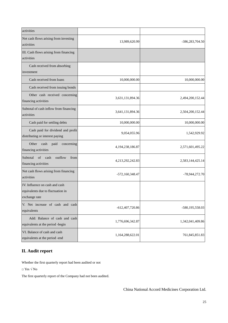| activities                                                                           |                      |                  |
|--------------------------------------------------------------------------------------|----------------------|------------------|
| Net cash flows arising from investing<br>activities                                  | 13,989,620.99        | -386,283,704.50  |
| III. Cash flows arising from financing<br>activities                                 |                      |                  |
| Cash received from absorbing<br>investment                                           |                      |                  |
| Cash received from loans                                                             | 10,000,000.00        | 10,000,000.00    |
| Cash received from issuing bonds                                                     |                      |                  |
| Other cash received concerning<br>financing activities                               | 3,631,131,894.36     | 2,494,200,152.44 |
| Subtotal of cash inflow from financing<br>activities                                 | 3,641,131,894.36     | 2,504,200,152.44 |
| Cash paid for settling debts                                                         | 10,000,000.00        | 10,000,000.00    |
| Cash paid for dividend and profit<br>distributing or interest paying                 | 9,054,055.96         | 1,542,929.92     |
| Other<br>cash<br>paid<br>concerning<br>financing activities                          | 4, 194, 238, 186. 87 | 2,571,601,495.22 |
| Subtotal of cash<br>outflow<br>from<br>financing activities                          | 4,213,292,242.83     | 2,583,144,425.14 |
| Net cash flows arising from financing<br>activities                                  | -572,160,348.47      | -78,944,272.70   |
| IV. Influence on cash and cash<br>equivalents due to fluctuation in<br>exchange rate |                      |                  |
| V. Net increase of cash and cash<br>equivalents                                      | -612,407,720.86      | -580,195,558.03  |
| Add: Balance of cash and cash<br>equivalents at the period -begin                    | 1,776,696,342.87     | 1,342,041,409.86 |
| VI. Balance of cash and cash<br>equivalents at the period -end                       | 1,164,288,622.01     | 761,845,851.83   |

## **II. Audit report**

Whether the first quarterly report had been audited or not

 $\Box$  Yes  $\sqrt{N_{\rm O}}$ 

The first quarterly report of the Company had not been audited.

China National Accord Medicines Corporation Ltd.